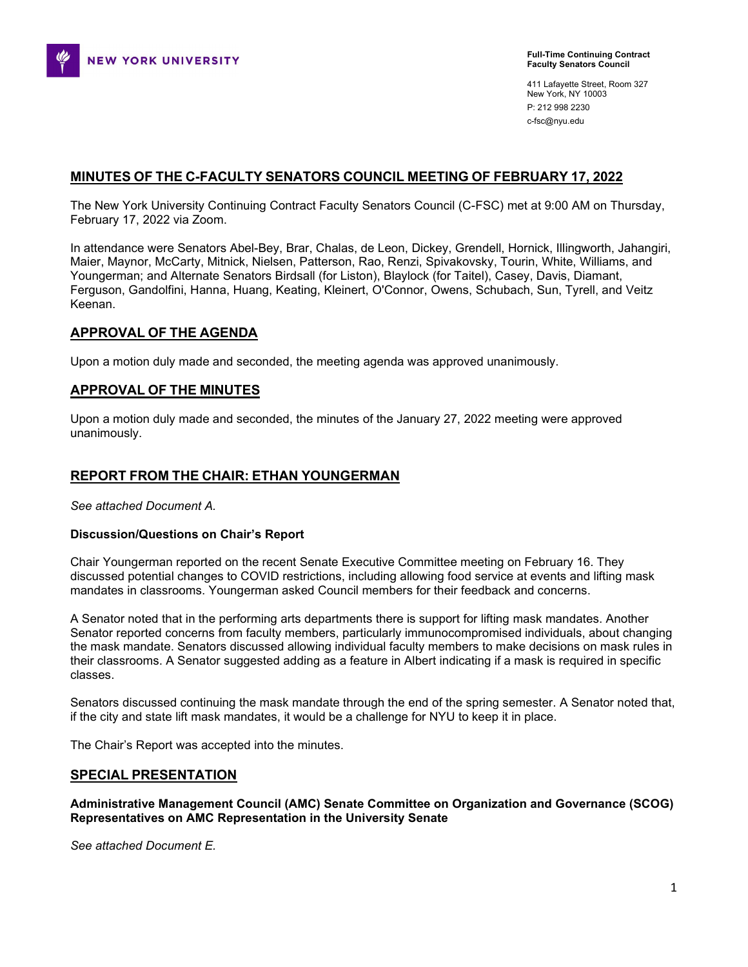

411 Lafayette Street, Room 327 New York, NY 10003 P: 212 998 2230 c-fsc@nyu.edu

# **MINUTES OF THE C-FACULTY SENATORS COUNCIL MEETING OF FEBRUARY 17, 2022**

The New York University Continuing Contract Faculty Senators Council (C-FSC) met at 9:00 AM on Thursday, February 17, 2022 via Zoom.

In attendance were Senators Abel-Bey, Brar, Chalas, de Leon, Dickey, Grendell, Hornick, Illingworth, Jahangiri, Maier, Maynor, McCarty, Mitnick, Nielsen, Patterson, Rao, Renzi, Spivakovsky, Tourin, White, Williams, and Youngerman; and Alternate Senators Birdsall (for Liston), Blaylock (for Taitel), Casey, Davis, Diamant, Ferguson, Gandolfini, Hanna, Huang, Keating, Kleinert, O'Connor, Owens, Schubach, Sun, Tyrell, and Veitz Keenan.

## **APPROVAL OF THE AGENDA**

Upon a motion duly made and seconded, the meeting agenda was approved unanimously.

### **APPROVAL OF THE MINUTES**

Upon a motion duly made and seconded, the minutes of the January 27, 2022 meeting were approved unanimously.

### **REPORT FROM THE CHAIR: ETHAN YOUNGERMAN**

*See attached Document A.*

### **Discussion/Questions on Chair's Report**

Chair Youngerman reported on the recent Senate Executive Committee meeting on February 16. They discussed potential changes to COVID restrictions, including allowing food service at events and lifting mask mandates in classrooms. Youngerman asked Council members for their feedback and concerns.

A Senator noted that in the performing arts departments there is support for lifting mask mandates. Another Senator reported concerns from faculty members, particularly immunocompromised individuals, about changing the mask mandate. Senators discussed allowing individual faculty members to make decisions on mask rules in their classrooms. A Senator suggested adding as a feature in Albert indicating if a mask is required in specific classes.

Senators discussed continuing the mask mandate through the end of the spring semester. A Senator noted that, if the city and state lift mask mandates, it would be a challenge for NYU to keep it in place.

The Chair's Report was accepted into the minutes.

### **SPECIAL PRESENTATION**

**Administrative Management Council (AMC) Senate Committee on Organization and Governance (SCOG) Representatives on AMC Representation in the University Senate**

*See attached Document E.*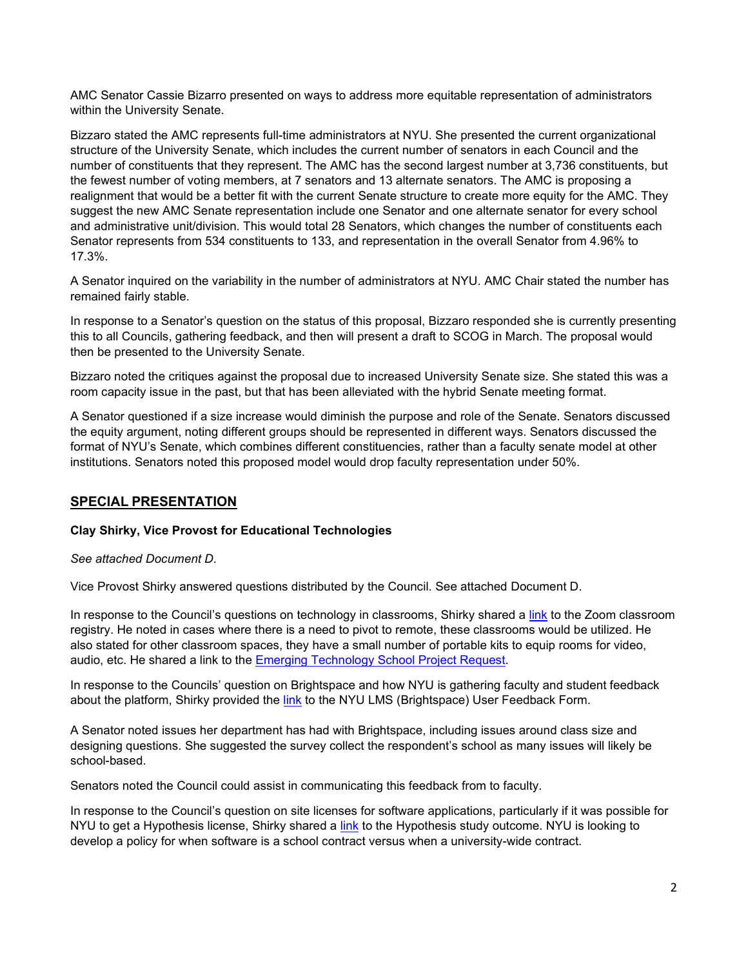AMC Senator Cassie Bizarro presented on ways to address more equitable representation of administrators within the University Senate.

Bizzaro stated the AMC represents full-time administrators at NYU. She presented the current organizational structure of the University Senate, which includes the current number of senators in each Council and the number of constituents that they represent. The AMC has the second largest number at 3,736 constituents, but the fewest number of voting members, at 7 senators and 13 alternate senators. The AMC is proposing a realignment that would be a better fit with the current Senate structure to create more equity for the AMC. They suggest the new AMC Senate representation include one Senator and one alternate senator for every school and administrative unit/division. This would total 28 Senators, which changes the number of constituents each Senator represents from 534 constituents to 133, and representation in the overall Senator from 4.96% to 17.3%.

A Senator inquired on the variability in the number of administrators at NYU. AMC Chair stated the number has remained fairly stable.

In response to a Senator's question on the status of this proposal, Bizzaro responded she is currently presenting this to all Councils, gathering feedback, and then will present a draft to SCOG in March. The proposal would then be presented to the University Senate.

Bizzaro noted the critiques against the proposal due to increased University Senate size. She stated this was a room capacity issue in the past, but that has been alleviated with the hybrid Senate meeting format.

A Senator questioned if a size increase would diminish the purpose and role of the Senate. Senators discussed the equity argument, noting different groups should be represented in different ways. Senators discussed the format of NYU's Senate, which combines different constituencies, rather than a faculty senate model at other institutions. Senators noted this proposed model would drop faculty representation under 50%.

# **SPECIAL PRESENTATION**

## **Clay Shirky, Vice Provost for Educational Technologies**

*See attached Document D.*

Vice Provost Shirky answered questions distributed by the Council. See attached Document D.

In response to the Council's questions on technology in classrooms, Shirky shared a [link](https://docs.google.com/spreadsheets/d/1PZjCKXbRZvia4H54doe-5COWrD1xMtOwbdyXg0Mt-Lo/edit#gid=0) to the Zoom classroom registry. He noted in cases where there is a need to pivot to remote, these classrooms would be utilized. He also stated for other classroom spaces, they have a small number of portable kits to equip rooms for video, audio, etc. He shared a link to the [Emerging Technology School Project Request.](https://docs.google.com/forms/d/e/1FAIpQLSeZVDTLFoVI55OwWNr3m02jnRTQHxrelyMONe-jnk8W40Uovw/viewform)

In response to the Councils' question on Brightspace and how NYU is gathering faculty and student feedback about the platform, Shirky provided the [link](https://docs.google.com/forms/d/e/1FAIpQLSccDpNqVExvUSk1PoNJ90ZfDQoNSRdpPrbd-Kx49Njwq3Wxvw/viewform) to the NYU LMS (Brightspace) User Feedback Form.

A Senator noted issues her department has had with Brightspace, including issues around class size and designing questions. She suggested the survey collect the respondent's school as many issues will likely be school-based.

Senators noted the Council could assist in communicating this feedback from to faculty.

In response to the Council's question on site licenses for software applications, particularly if it was possible for NYU to get a Hypothesis license, Shirky shared a [link](https://docs.google.com/document/d/1Od2aotEOJ-s0lvdV3Z-HF_SbBRtzzzxHNk2YlDnmsCs/edit?usp=sharing) to the Hypothesis study outcome. NYU is looking to develop a policy for when software is a school contract versus when a university-wide contract.